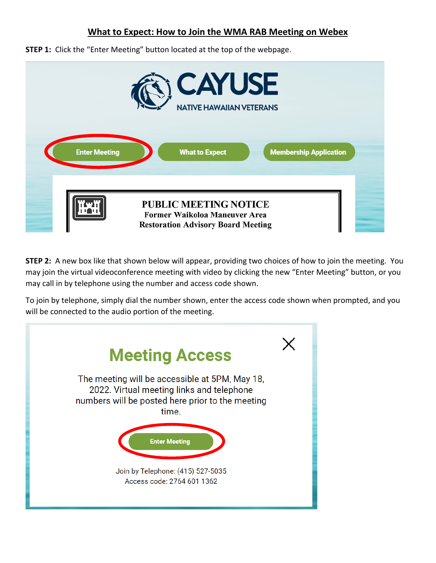## **What to Expect: How to Join the WMA RAB Meeting on Webex**

**STEP 1:** Click the "Enter Meeting" button located at the top of the webpage.

|                      | <b>CAYUSE</b><br><b>NATIVE HAWAIIAN VETERANS</b>                                                           |
|----------------------|------------------------------------------------------------------------------------------------------------|
| <b>Enter Meeting</b> | <b>What to Expect</b><br><b>Membership Application</b>                                                     |
|                      | <b>PUBLIC MEETING NOTICE</b><br>Former Waikoloa Maneuver Area<br><b>Restoration Advisory Board Meeting</b> |

**STEP 2:** A new box like that shown below will appear, providing two choices of how to join the meeting. You may join the virtual videoconference meeting with video by clicking the new "Enter Meeting" button, or you may call in by telephone using the number and access code shown.

To join by telephone, simply dial the number shown, enter the access code shown when prompted, and you will be connected to the audio portion of the meeting.

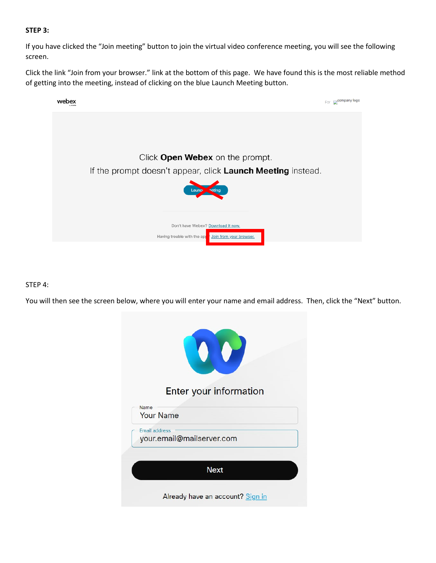## **STEP 3:**

If you have clicked the "Join meeting" button to join the virtual video conference meeting, you will see the following screen.

Click the link "Join from your browser." link at the bottom of this page. We have found this is the most reliable method of getting into the meeting, instead of clicking on the blue Launch Meeting button.



## STEP 4:

You will then see the screen below, where you will enter your name and email address. Then, click the "Next" button.